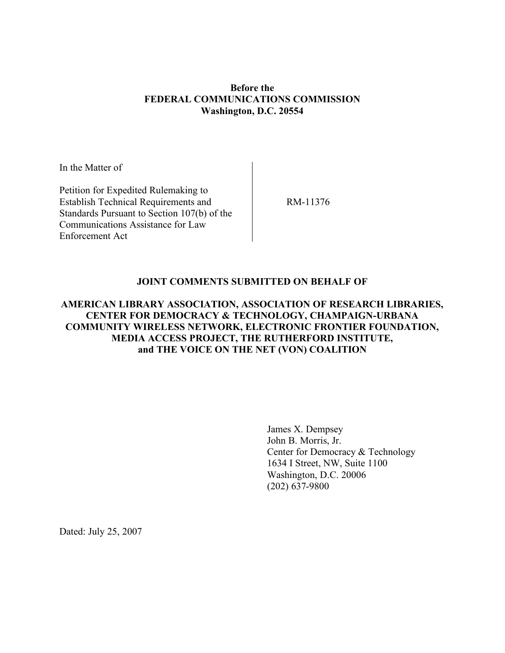## **Before the FEDERAL COMMUNICATIONS COMMISSION Washington, D.C. 20554**

In the Matter of

Petition for Expedited Rulemaking to Establish Technical Requirements and Standards Pursuant to Section 107(b) of the Communications Assistance for Law Enforcement Act

RM-11376

## **JOINT COMMENTS SUBMITTED ON BEHALF OF**

## **AMERICAN LIBRARY ASSOCIATION, ASSOCIATION OF RESEARCH LIBRARIES, CENTER FOR DEMOCRACY & TECHNOLOGY, CHAMPAIGN-URBANA COMMUNITY WIRELESS NETWORK, ELECTRONIC FRONTIER FOUNDATION, MEDIA ACCESS PROJECT, THE RUTHERFORD INSTITUTE, and THE VOICE ON THE NET (VON) COALITION**

James X. Dempsey John B. Morris, Jr. Center for Democracy & Technology 1634 I Street, NW, Suite 1100 Washington, D.C. 20006 (202) 637-9800

Dated: July 25, 2007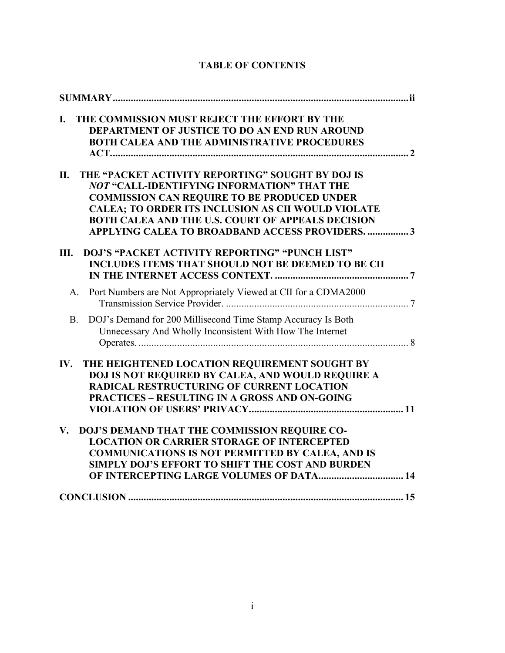| THE COMMISSION MUST REJECT THE EFFORT BY THE<br>$\mathbf{I}$ .<br><b>DEPARTMENT OF JUSTICE TO DO AN END RUN AROUND</b><br><b>BOTH CALEA AND THE ADMINISTRATIVE PROCEDURES</b>                                                                                                                                                            |
|------------------------------------------------------------------------------------------------------------------------------------------------------------------------------------------------------------------------------------------------------------------------------------------------------------------------------------------|
| THE "PACKET ACTIVITY REPORTING" SOUGHT BY DOJ IS<br>П.<br>NOT "CALL-IDENTIFYING INFORMATION" THAT THE<br><b>COMMISSION CAN REQUIRE TO BE PRODUCED UNDER</b><br><b>CALEA; TO ORDER ITS INCLUSION AS CII WOULD VIOLATE</b><br><b>BOTH CALEA AND THE U.S. COURT OF APPEALS DECISION</b><br>APPLYING CALEA TO BROADBAND ACCESS PROVIDERS.  3 |
| DOJ'S "PACKET ACTIVITY REPORTING" "PUNCH LIST"<br>Ш.<br><b>INCLUDES ITEMS THAT SHOULD NOT BE DEEMED TO BE CII</b>                                                                                                                                                                                                                        |
| Port Numbers are Not Appropriately Viewed at CII for a CDMA2000<br>A.                                                                                                                                                                                                                                                                    |
| DOJ's Demand for 200 Millisecond Time Stamp Accuracy Is Both<br><b>B.</b><br>Unnecessary And Wholly Inconsistent With How The Internet                                                                                                                                                                                                   |
| THE HEIGHTENED LOCATION REQUIREMENT SOUGHT BY<br>IV.<br><b>DOJ IS NOT REQUIRED BY CALEA, AND WOULD REQUIRE A</b><br><b>RADICAL RESTRUCTURING OF CURRENT LOCATION</b><br><b>PRACTICES - RESULTING IN A GROSS AND ON-GOING</b>                                                                                                             |
| DOJ'S DEMAND THAT THE COMMISSION REQUIRE CO-<br>V.<br><b>LOCATION OR CARRIER STORAGE OF INTERCEPTED</b><br><b>COMMUNICATIONS IS NOT PERMITTED BY CALEA, AND IS</b><br>SIMPLY DOJ'S EFFORT TO SHIFT THE COST AND BURDEN<br>OF INTERCEPTING LARGE VOLUMES OF DATA 14                                                                       |
|                                                                                                                                                                                                                                                                                                                                          |

# **TABLE OF CONTENTS**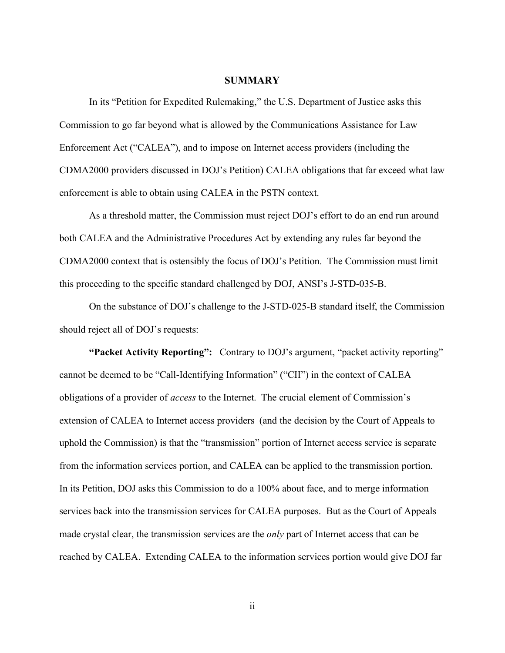#### **SUMMARY**

In its "Petition for Expedited Rulemaking," the U.S. Department of Justice asks this Commission to go far beyond what is allowed by the Communications Assistance for Law Enforcement Act ("CALEA"), and to impose on Internet access providers (including the CDMA2000 providers discussed in DOJ's Petition) CALEA obligations that far exceed what law enforcement is able to obtain using CALEA in the PSTN context.

As a threshold matter, the Commission must reject DOJ's effort to do an end run around both CALEA and the Administrative Procedures Act by extending any rules far beyond the CDMA2000 context that is ostensibly the focus of DOJ's Petition. The Commission must limit this proceeding to the specific standard challenged by DOJ, ANSI's J-STD-035-B.

On the substance of DOJ's challenge to the J-STD-025-B standard itself, the Commission should reject all of DOJ's requests:

**"Packet Activity Reporting":** Contrary to DOJ's argument, "packet activity reporting" cannot be deemed to be "Call-Identifying Information" ("CII") in the context of CALEA obligations of a provider of *access* to the Internet. The crucial element of Commission's extension of CALEA to Internet access providers (and the decision by the Court of Appeals to uphold the Commission) is that the "transmission" portion of Internet access service is separate from the information services portion, and CALEA can be applied to the transmission portion. In its Petition, DOJ asks this Commission to do a 100% about face, and to merge information services back into the transmission services for CALEA purposes. But as the Court of Appeals made crystal clear, the transmission services are the *only* part of Internet access that can be reached by CALEA. Extending CALEA to the information services portion would give DOJ far

ii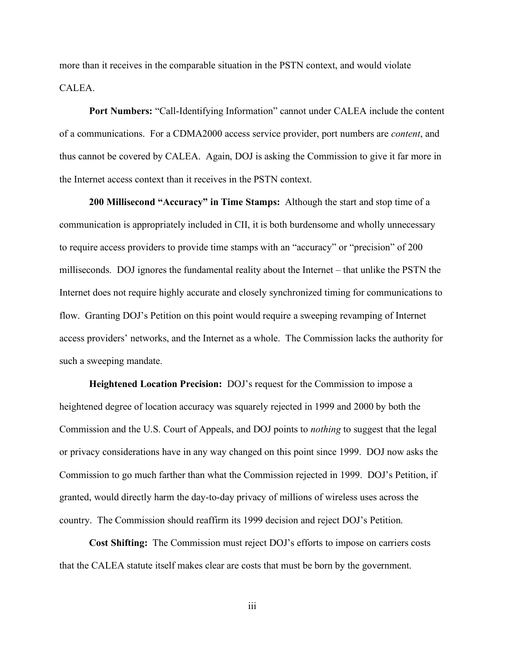more than it receives in the comparable situation in the PSTN context, and would violate **CALEA** 

**Port Numbers:** "Call-Identifying Information" cannot under CALEA include the content of a communications. For a CDMA2000 access service provider, port numbers are *content*, and thus cannot be covered by CALEA. Again, DOJ is asking the Commission to give it far more in the Internet access context than it receives in the PSTN context.

**200 Millisecond "Accuracy" in Time Stamps:** Although the start and stop time of a communication is appropriately included in CII, it is both burdensome and wholly unnecessary to require access providers to provide time stamps with an "accuracy" or "precision" of 200 milliseconds. DOJ ignores the fundamental reality about the Internet – that unlike the PSTN the Internet does not require highly accurate and closely synchronized timing for communications to flow. Granting DOJ's Petition on this point would require a sweeping revamping of Internet access providers' networks, and the Internet as a whole. The Commission lacks the authority for such a sweeping mandate.

**Heightened Location Precision:** DOJ's request for the Commission to impose a heightened degree of location accuracy was squarely rejected in 1999 and 2000 by both the Commission and the U.S. Court of Appeals, and DOJ points to *nothing* to suggest that the legal or privacy considerations have in any way changed on this point since 1999. DOJ now asks the Commission to go much farther than what the Commission rejected in 1999. DOJ's Petition, if granted, would directly harm the day-to-day privacy of millions of wireless uses across the country. The Commission should reaffirm its 1999 decision and reject DOJ's Petition.

**Cost Shifting:** The Commission must reject DOJ's efforts to impose on carriers costs that the CALEA statute itself makes clear are costs that must be born by the government.

iii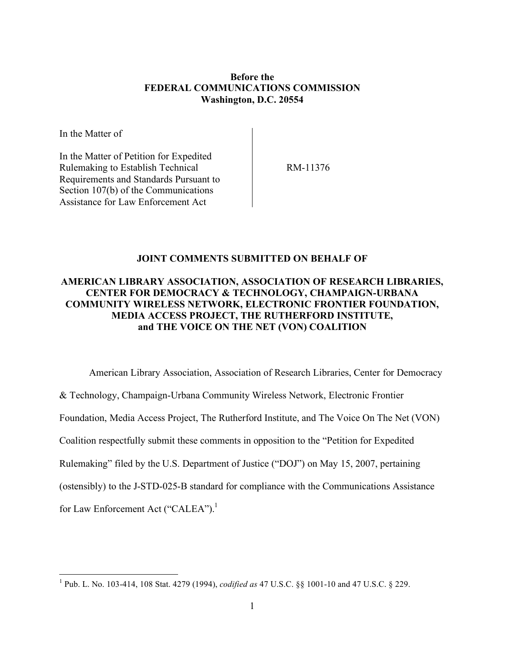#### **Before the FEDERAL COMMUNICATIONS COMMISSION Washington, D.C. 20554**

In the Matter of

In the Matter of Petition for Expedited Rulemaking to Establish Technical Requirements and Standards Pursuant to Section 107(b) of the Communications Assistance for Law Enforcement Act

RM-11376

#### **JOINT COMMENTS SUBMITTED ON BEHALF OF**

# **AMERICAN LIBRARY ASSOCIATION, ASSOCIATION OF RESEARCH LIBRARIES, CENTER FOR DEMOCRACY & TECHNOLOGY, CHAMPAIGN-URBANA COMMUNITY WIRELESS NETWORK, ELECTRONIC FRONTIER FOUNDATION, MEDIA ACCESS PROJECT, THE RUTHERFORD INSTITUTE, and THE VOICE ON THE NET (VON) COALITION**

American Library Association, Association of Research Libraries, Center for Democracy & Technology, Champaign-Urbana Community Wireless Network, Electronic Frontier Foundation, Media Access Project, The Rutherford Institute, and The Voice On The Net (VON) Coalition respectfully submit these comments in opposition to the "Petition for Expedited Rulemaking" filed by the U.S. Department of Justice ("DOJ") on May 15, 2007, pertaining (ostensibly) to the J-STD-025-B standard for compliance with the Communications Assistance for Law Enforcement Act ("CALEA").<sup>1</sup>

 <sup>1</sup> Pub. L. No. 103-414, <sup>108</sup> Stat. <sup>4279</sup> (1994), *codified as* <sup>47</sup> U.S.C. §§ 1001-10 and <sup>47</sup> U.S.C. § 229.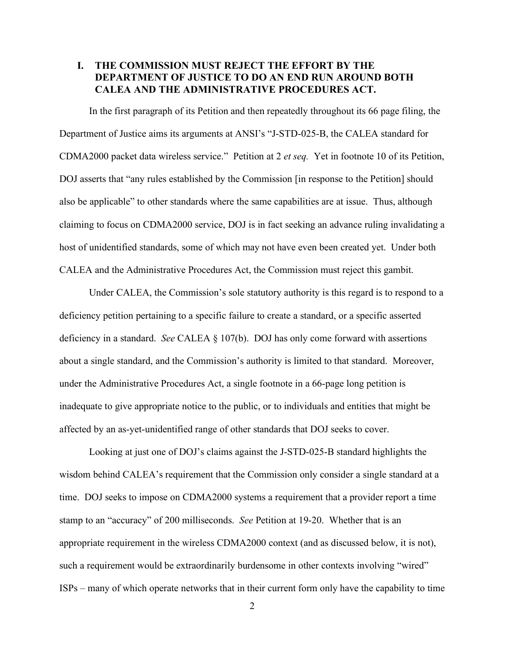## **I. THE COMMISSION MUST REJECT THE EFFORT BY THE DEPARTMENT OF JUSTICE TO DO AN END RUN AROUND BOTH CALEA AND THE ADMINISTRATIVE PROCEDURES ACT.**

In the first paragraph of its Petition and then repeatedly throughout its 66 page filing, the Department of Justice aims its arguments at ANSI's "J-STD-025-B, the CALEA standard for CDMA2000 packet data wireless service." Petition at 2 *et seq.* Yet in footnote 10 of its Petition, DOJ asserts that "any rules established by the Commission [in response to the Petition] should also be applicable" to other standards where the same capabilities are at issue. Thus, although claiming to focus on CDMA2000 service, DOJ is in fact seeking an advance ruling invalidating a host of unidentified standards, some of which may not have even been created yet. Under both CALEA and the Administrative Procedures Act, the Commission must reject this gambit.

Under CALEA, the Commission's sole statutory authority is this regard is to respond to a deficiency petition pertaining to a specific failure to create a standard, or a specific asserted deficiency in a standard. *See* CALEA § 107(b). DOJ has only come forward with assertions about a single standard, and the Commission's authority is limited to that standard. Moreover, under the Administrative Procedures Act, a single footnote in a 66-page long petition is inadequate to give appropriate notice to the public, or to individuals and entities that might be affected by an as-yet-unidentified range of other standards that DOJ seeks to cover.

Looking at just one of DOJ's claims against the J-STD-025-B standard highlights the wisdom behind CALEA's requirement that the Commission only consider a single standard at a time. DOJ seeks to impose on CDMA2000 systems a requirement that a provider report a time stamp to an "accuracy" of 200 milliseconds. *See* Petition at 19-20. Whether that is an appropriate requirement in the wireless CDMA2000 context (and as discussed below, it is not), such a requirement would be extraordinarily burdensome in other contexts involving "wired" ISPs – many of which operate networks that in their current form only have the capability to time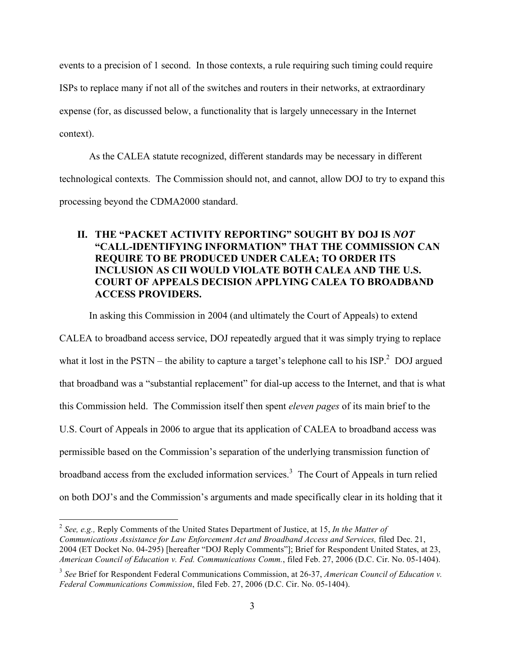events to a precision of 1 second. In those contexts, a rule requiring such timing could require ISPs to replace many if not all of the switches and routers in their networks, at extraordinary expense (for, as discussed below, a functionality that is largely unnecessary in the Internet context).

As the CALEA statute recognized, different standards may be necessary in different technological contexts. The Commission should not, and cannot, allow DOJ to try to expand this processing beyond the CDMA2000 standard.

# **II. THE "PACKET ACTIVITY REPORTING" SOUGHT BY DOJ IS** *NOT* **"CALL-IDENTIFYING INFORMATION" THAT THE COMMISSION CAN REQUIRE TO BE PRODUCED UNDER CALEA; TO ORDER ITS INCLUSION AS CII WOULD VIOLATE BOTH CALEA AND THE U.S. COURT OF APPEALS DECISION APPLYING CALEA TO BROADBAND ACCESS PROVIDERS.**

In asking this Commission in 2004 (and ultimately the Court of Appeals) to extend

CALEA to broadband access service, DOJ repeatedly argued that it was simply trying to replace what it lost in the PSTN – the ability to capture a target's telephone call to his  $ISP<sup>2</sup>$  DOJ argued that broadband was a "substantial replacement" for dial-up access to the Internet, and that is what this Commission held. The Commission itself then spent *eleven pages* of its main brief to the U.S. Court of Appeals in 2006 to argue that its application of CALEA to broadband access was permissible based on the Commission's separation of the underlying transmission function of broadband access from the excluded information services. <sup>3</sup> The Court of Appeals in turn relied on both DOJ's and the Commission's arguments and made specifically clear in its holding that it

 <sup>2</sup> *See, e.g.,* Reply Comments of the United States Department of Justice, at 15, *In the Matter of Communications Assistance for Law Enforcement Act and Broadband Access and Services,* filed Dec. 21, 2004 (ET Docket No. 04-295) [hereafter "DOJ Reply Comments"]; Brief for Respondent United States, at 23, *American Council of Education v. Fed. Communications Comm.*, filed Feb. 27, 2006 (D.C. Cir. No. 05-1404).

<sup>3</sup> *See* Brief for Respondent Federal Communications Commission, at 26-37, *American Council of Education v. Federal Communications Commission*, filed Feb. 27, 2006 (D.C. Cir. No. 05-1404).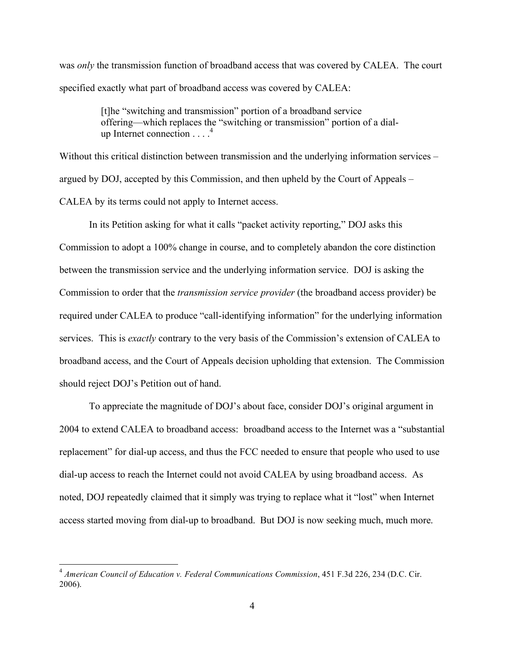was *only* the transmission function of broadband access that was covered by CALEA. The court specified exactly what part of broadband access was covered by CALEA:

> [t]he "switching and transmission" portion of a broadband service offering—which replaces the "switching or transmission" portion of a dialup Internet connection . . . . 4

Without this critical distinction between transmission and the underlying information services – argued by DOJ, accepted by this Commission, and then upheld by the Court of Appeals – CALEA by its terms could not apply to Internet access.

In its Petition asking for what it calls "packet activity reporting," DOJ asks this Commission to adopt a 100% change in course, and to completely abandon the core distinction between the transmission service and the underlying information service. DOJ is asking the Commission to order that the *transmission service provider* (the broadband access provider) be required under CALEA to produce "call-identifying information" for the underlying information services. This is *exactly* contrary to the very basis of the Commission's extension of CALEA to broadband access, and the Court of Appeals decision upholding that extension. The Commission should reject DOJ's Petition out of hand.

To appreciate the magnitude of DOJ's about face, consider DOJ's original argument in 2004 to extend CALEA to broadband access: broadband access to the Internet was a "substantial replacement" for dial-up access, and thus the FCC needed to ensure that people who used to use dial-up access to reach the Internet could not avoid CALEA by using broadband access. As noted, DOJ repeatedly claimed that it simply was trying to replace what it "lost" when Internet access started moving from dial-up to broadband. But DOJ is now seeking much, much more.

 <sup>4</sup> *American Council of Education v. Federal Communications Commission*, <sup>451</sup> F.3d 226, <sup>234</sup> (D.C. Cir. 2006).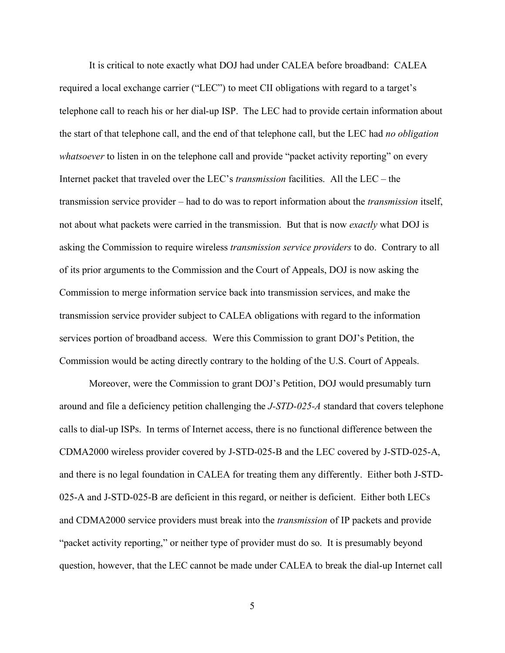It is critical to note exactly what DOJ had under CALEA before broadband: CALEA required a local exchange carrier ("LEC") to meet CII obligations with regard to a target's telephone call to reach his or her dial-up ISP. The LEC had to provide certain information about the start of that telephone call, and the end of that telephone call, but the LEC had *no obligation whatsoever* to listen in on the telephone call and provide "packet activity reporting" on every Internet packet that traveled over the LEC's *transmission* facilities. All the LEC – the transmission service provider – had to do was to report information about the *transmission* itself, not about what packets were carried in the transmission. But that is now *exactly* what DOJ is asking the Commission to require wireless *transmission service providers* to do. Contrary to all of its prior arguments to the Commission and the Court of Appeals, DOJ is now asking the Commission to merge information service back into transmission services, and make the transmission service provider subject to CALEA obligations with regard to the information services portion of broadband access. Were this Commission to grant DOJ's Petition, the Commission would be acting directly contrary to the holding of the U.S. Court of Appeals.

Moreover, were the Commission to grant DOJ's Petition, DOJ would presumably turn around and file a deficiency petition challenging the *J-STD-025-A* standard that covers telephone calls to dial-up ISPs. In terms of Internet access, there is no functional difference between the CDMA2000 wireless provider covered by J-STD-025-B and the LEC covered by J-STD-025-A, and there is no legal foundation in CALEA for treating them any differently. Either both J-STD-025-A and J-STD-025-B are deficient in this regard, or neither is deficient. Either both LECs and CDMA2000 service providers must break into the *transmission* of IP packets and provide "packet activity reporting," or neither type of provider must do so. It is presumably beyond question, however, that the LEC cannot be made under CALEA to break the dial-up Internet call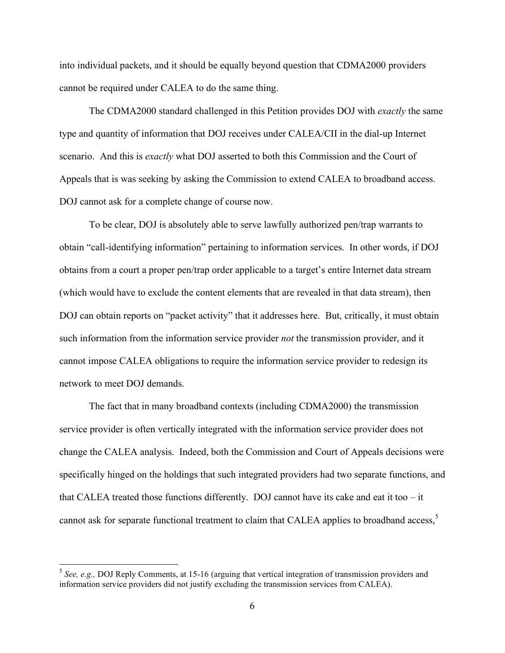into individual packets, and it should be equally beyond question that CDMA2000 providers cannot be required under CALEA to do the same thing.

The CDMA2000 standard challenged in this Petition provides DOJ with *exactly* the same type and quantity of information that DOJ receives under CALEA/CII in the dial-up Internet scenario. And this is *exactly* what DOJ asserted to both this Commission and the Court of Appeals that is was seeking by asking the Commission to extend CALEA to broadband access. DOJ cannot ask for a complete change of course now.

To be clear, DOJ is absolutely able to serve lawfully authorized pen/trap warrants to obtain "call-identifying information" pertaining to information services. In other words, if DOJ obtains from a court a proper pen/trap order applicable to a target's entire Internet data stream (which would have to exclude the content elements that are revealed in that data stream), then DOJ can obtain reports on "packet activity" that it addresses here. But, critically, it must obtain such information from the information service provider *not* the transmission provider, and it cannot impose CALEA obligations to require the information service provider to redesign its network to meet DOJ demands.

The fact that in many broadband contexts (including CDMA2000) the transmission service provider is often vertically integrated with the information service provider does not change the CALEA analysis. Indeed, both the Commission and Court of Appeals decisions were specifically hinged on the holdings that such integrated providers had two separate functions, and that CALEA treated those functions differently. DOJ cannot have its cake and eat it too  $-$  it cannot ask for separate functional treatment to claim that CALEA applies to broadband access, 5

 <sup>5</sup> *See, e.g.,* DOJ Reply Comments, at 15-16 (arguing that vertical integration of transmission providers and information service providers did not justify excluding the transmission services from CALEA).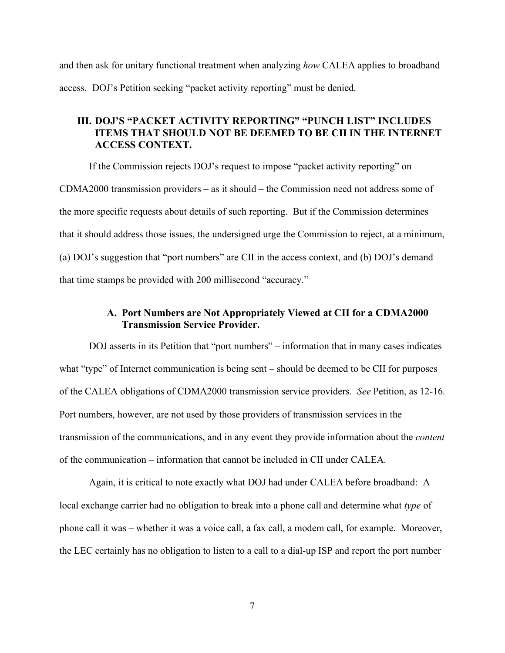and then ask for unitary functional treatment when analyzing *how* CALEA applies to broadband access. DOJ's Petition seeking "packet activity reporting" must be denied.

# **III. DOJ'S "PACKET ACTIVITY REPORTING" "PUNCH LIST" INCLUDES ITEMS THAT SHOULD NOT BE DEEMED TO BE CII IN THE INTERNET ACCESS CONTEXT.**

If the Commission rejects DOJ's request to impose "packet activity reporting" on CDMA2000 transmission providers – as it should – the Commission need not address some of the more specific requests about details of such reporting. But if the Commission determines that it should address those issues, the undersigned urge the Commission to reject, at a minimum, (a) DOJ's suggestion that "port numbers" are CII in the access context, and (b) DOJ's demand that time stamps be provided with 200 millisecond "accuracy."

# **A. Port Numbers are Not Appropriately Viewed at CII for a CDMA2000 Transmission Service Provider.**

DOJ asserts in its Petition that "port numbers" – information that in many cases indicates what "type" of Internet communication is being sent – should be deemed to be CII for purposes of the CALEA obligations of CDMA2000 transmission service providers. *See* Petition, as 12-16. Port numbers, however, are not used by those providers of transmission services in the transmission of the communications, and in any event they provide information about the *content* of the communication – information that cannot be included in CII under CALEA.

Again, it is critical to note exactly what DOJ had under CALEA before broadband: A local exchange carrier had no obligation to break into a phone call and determine what *type* of phone call it was – whether it was a voice call, a fax call, a modem call, for example. Moreover, the LEC certainly has no obligation to listen to a call to a dial-up ISP and report the port number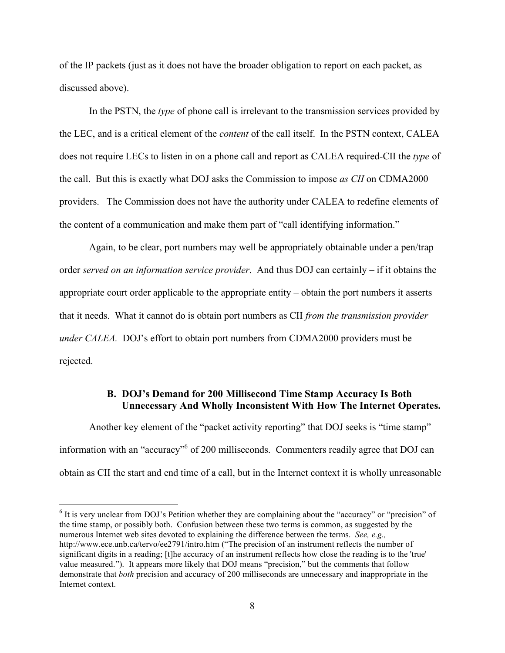of the IP packets (just as it does not have the broader obligation to report on each packet, as discussed above).

In the PSTN, the *type* of phone call is irrelevant to the transmission services provided by the LEC, and is a critical element of the *content* of the call itself. In the PSTN context, CALEA does not require LECs to listen in on a phone call and report as CALEA required-CII the *type* of the call. But this is exactly what DOJ asks the Commission to impose *as CII* on CDMA2000 providers. The Commission does not have the authority under CALEA to redefine elements of the content of a communication and make them part of "call identifying information."

Again, to be clear, port numbers may well be appropriately obtainable under a pen/trap order *served on an information service provider*. And thus DOJ can certainly – if it obtains the appropriate court order applicable to the appropriate entity – obtain the port numbers it asserts that it needs. What it cannot do is obtain port numbers as CII *from the transmission provider under CALEA.* DOJ's effort to obtain port numbers from CDMA2000 providers must be rejected.

# **B. DOJ's Demand for 200 Millisecond Time Stamp Accuracy Is Both Unnecessary And Wholly Inconsistent With How The Internet Operates.**

Another key element of the "packet activity reporting" that DOJ seeks is "time stamp" information with an "accuracy"6 of 200 milliseconds. Commenters readily agree that DOJ can obtain as CII the start and end time of a call, but in the Internet context it is wholly unreasonable

 $6$  It is very unclear from DOJ's Petition whether they are complaining about the "accuracy" or "precision" of the time stamp, or possibly both. Confusion between these two terms is common, as suggested by the numerous Internet web sites devoted to explaining the difference between the terms. *See, e.g.,* http://www.ece.unb.ca/tervo/ee2791/intro.htm ("The precision of an instrument reflects the number of significant digits in a reading; [t]he accuracy of an instrument reflects how close the reading is to the 'true' value measured."). It appears more likely that DOJ means "precision," but the comments that follow demonstrate that *both* precision and accuracy of 200 milliseconds are unnecessary and inappropriate in the Internet context.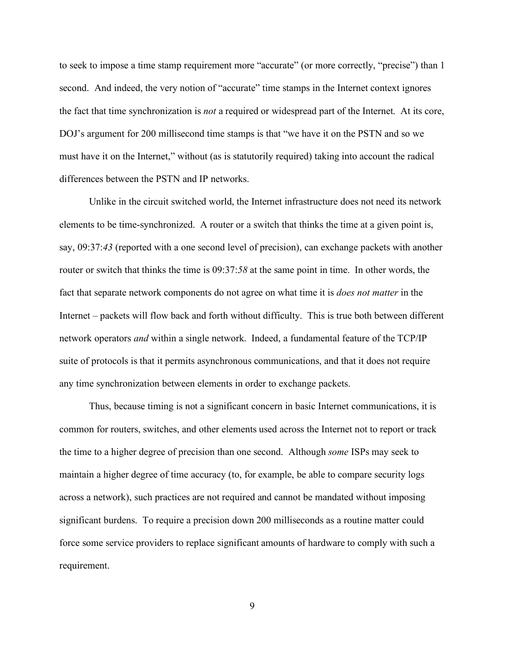to seek to impose a time stamp requirement more "accurate" (or more correctly, "precise") than 1 second. And indeed, the very notion of "accurate" time stamps in the Internet context ignores the fact that time synchronization is *not* a required or widespread part of the Internet. At its core, DOJ's argument for 200 millisecond time stamps is that "we have it on the PSTN and so we must have it on the Internet," without (as is statutorily required) taking into account the radical differences between the PSTN and IP networks.

Unlike in the circuit switched world, the Internet infrastructure does not need its network elements to be time-synchronized. A router or a switch that thinks the time at a given point is, say, 09:37:*43* (reported with a one second level of precision), can exchange packets with another router or switch that thinks the time is 09:37:*58* at the same point in time. In other words, the fact that separate network components do not agree on what time it is *does not matter* in the Internet – packets will flow back and forth without difficulty. This is true both between different network operators *and* within a single network. Indeed, a fundamental feature of the TCP/IP suite of protocols is that it permits asynchronous communications, and that it does not require any time synchronization between elements in order to exchange packets.

Thus, because timing is not a significant concern in basic Internet communications, it is common for routers, switches, and other elements used across the Internet not to report or track the time to a higher degree of precision than one second. Although *some* ISPs may seek to maintain a higher degree of time accuracy (to, for example, be able to compare security logs across a network), such practices are not required and cannot be mandated without imposing significant burdens. To require a precision down 200 milliseconds as a routine matter could force some service providers to replace significant amounts of hardware to comply with such a requirement.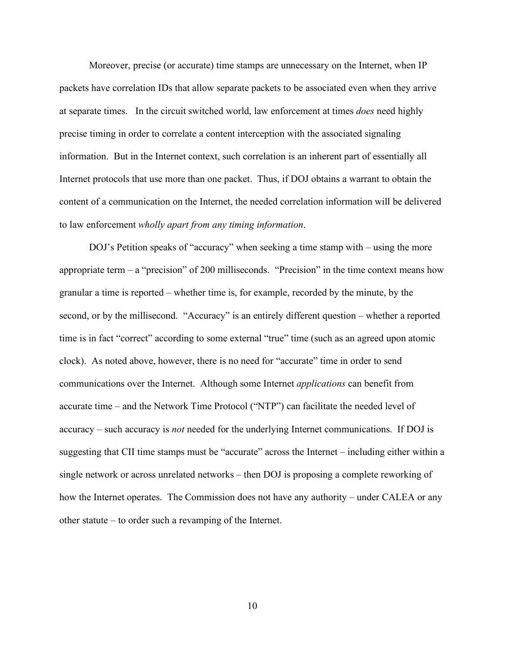Moreover, precise (or accurate) time stamps are unnecessary on the Internet, when IP packets have correlation IDs that allow separate packets to be associated even when they arrive at separate times. In the circuit switched world, law enforcement at times *does* need highly precise timing in order to correlate a content interception with the associated signaling information. But in the Internet context, such correlation is an inherent part of essentially all Internet protocols that use more than one packet. Thus, if DOJ obtains a warrant to obtain the content of a communication on the Internet, the needed correlation information will be delivered to law enforcement *wholly apart from any timing information*.

DOJ's Petition speaks of "accuracy" when seeking a time stamp with – using the more appropriate term  $-$  a "precision" of 200 milliseconds. "Precision" in the time context means how granular a time is reported – whether time is, for example, recorded by the minute, by the second, or by the millisecond. "Accuracy" is an entirely different question – whether a reported time is in fact "correct" according to some external "true" time (such as an agreed upon atomic clock). As noted above, however, there is no need for "accurate" time in order to send communications over the Internet. Although some Internet *applications* can benefit from accurate time – and the Network Time Protocol ("NTP") can facilitate the needed level of accuracy – such accuracy is *not* needed for the underlying Internet communications. If DOJ is suggesting that CII time stamps must be "accurate" across the Internet – including either within a single network or across unrelated networks – then DOJ is proposing a complete reworking of how the Internet operates. The Commission does not have any authority – under CALEA or any other statute – to order such a revamping of the Internet.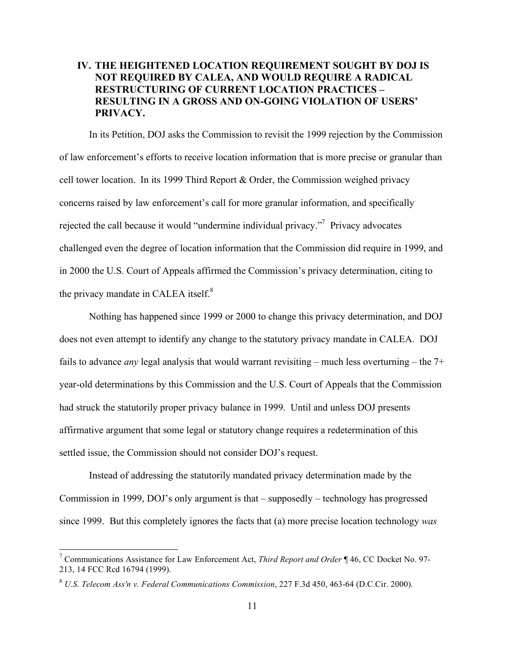# **IV. THE HEIGHTENED LOCATION REQUIREMENT SOUGHT BY DOJ IS NOT REQUIRED BY CALEA, AND WOULD REQUIRE A RADICAL RESTRUCTURING OF CURRENT LOCATION PRACTICES – RESULTING IN A GROSS AND ON-GOING VIOLATION OF USERS' PRIVACY.**

In its Petition, DOJ asks the Commission to revisit the 1999 rejection by the Commission of law enforcement's efforts to receive location information that is more precise or granular than cell tower location. In its 1999 Third Report & Order, the Commission weighed privacy concerns raised by law enforcement's call for more granular information, and specifically rejected the call because it would "undermine individual privacy."<sup>7</sup> Privacy advocates challenged even the degree of location information that the Commission did require in 1999, and in 2000 the U.S. Court of Appeals affirmed the Commission's privacy determination, citing to the privacy mandate in CALEA itself.<sup>8</sup>

Nothing has happened since 1999 or 2000 to change this privacy determination, and DOJ does not even attempt to identify any change to the statutory privacy mandate in CALEA. DOJ fails to advance *any* legal analysis that would warrant revisiting – much less overturning – the 7+ year-old determinations by this Commission and the U.S. Court of Appeals that the Commission had struck the statutorily proper privacy balance in 1999. Until and unless DOJ presents affirmative argument that some legal or statutory change requires a redetermination of this settled issue, the Commission should not consider DOJ's request.

Instead of addressing the statutorily mandated privacy determination made by the Commission in 1999, DOJ's only argument is that – supposedly – technology has progressed since 1999. But this completely ignores the facts that (a) more precise location technology *was*

 <sup>7</sup> Communications Assistance for Law Enforcement Act, *Third Report and Order* ¶ 46, CC Docket No. 97- 213, 14 FCC Rcd 16794 (1999).

<sup>8</sup> *U.S. Telecom Ass'n v. Federal Communications Commission*, 227 F.3d 450, 463-64 (D.C.Cir. 2000).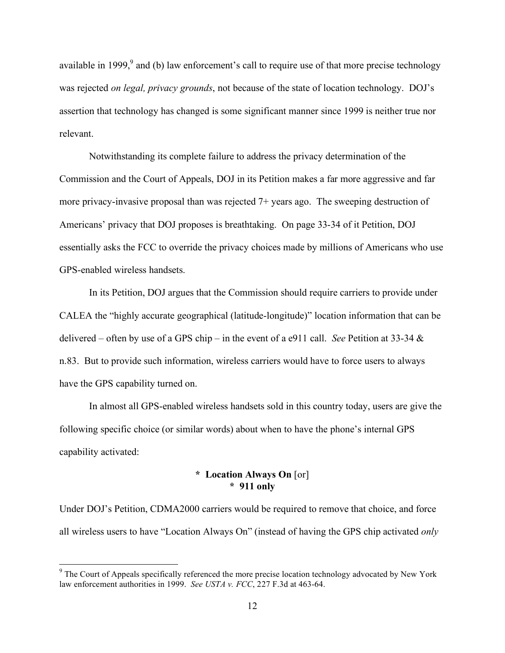available in 1999, $\degree$  and (b) law enforcement's call to require use of that more precise technology was rejected *on legal, privacy grounds*, not because of the state of location technology. DOJ's assertion that technology has changed is some significant manner since 1999 is neither true nor relevant.

Notwithstanding its complete failure to address the privacy determination of the Commission and the Court of Appeals, DOJ in its Petition makes a far more aggressive and far more privacy-invasive proposal than was rejected 7+ years ago. The sweeping destruction of Americans' privacy that DOJ proposes is breathtaking. On page 33-34 of it Petition, DOJ essentially asks the FCC to override the privacy choices made by millions of Americans who use GPS-enabled wireless handsets.

In its Petition, DOJ argues that the Commission should require carriers to provide under CALEA the "highly accurate geographical (latitude-longitude)" location information that can be delivered – often by use of a GPS chip – in the event of a e911 call. *See* Petition at 33-34 & n.83. But to provide such information, wireless carriers would have to force users to always have the GPS capability turned on.

In almost all GPS-enabled wireless handsets sold in this country today, users are give the following specific choice (or similar words) about when to have the phone's internal GPS capability activated:

#### **\* Location Always On** [or] **\* 911 only**

Under DOJ's Petition, CDMA2000 carriers would be required to remove that choice, and force all wireless users to have "Location Always On" (instead of having the GPS chip activated *only*

 $9<sup>9</sup>$  The Court of Appeals specifically referenced the more precise location technology advocated by New York law enforcement authorities in 1999. *See USTA v. FCC*, 227 F.3d at 463-64.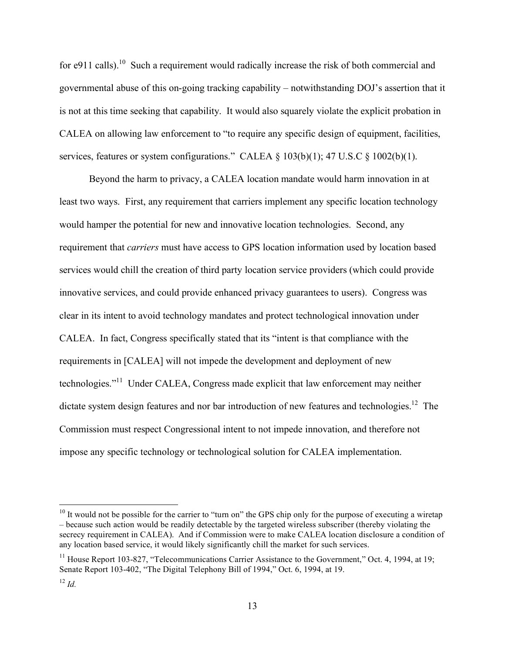for e911 calls).<sup>10</sup> Such a requirement would radically increase the risk of both commercial and governmental abuse of this on-going tracking capability – notwithstanding DOJ's assertion that it is not at this time seeking that capability. It would also squarely violate the explicit probation in CALEA on allowing law enforcement to "to require any specific design of equipment, facilities, services, features or system configurations." CALEA § 103(b)(1); 47 U.S.C § 1002(b)(1).

Beyond the harm to privacy, a CALEA location mandate would harm innovation in at least two ways. First, any requirement that carriers implement any specific location technology would hamper the potential for new and innovative location technologies. Second, any requirement that *carriers* must have access to GPS location information used by location based services would chill the creation of third party location service providers (which could provide innovative services, and could provide enhanced privacy guarantees to users). Congress was clear in its intent to avoid technology mandates and protect technological innovation under CALEA. In fact, Congress specifically stated that its "intent is that compliance with the requirements in [CALEA] will not impede the development and deployment of new technologies."<sup>11</sup> Under CALEA, Congress made explicit that law enforcement may neither dictate system design features and nor bar introduction of new features and technologies.<sup>12</sup> The Commission must respect Congressional intent to not impede innovation, and therefore not impose any specific technology or technological solution for CALEA implementation.

<sup>&</sup>lt;sup>10</sup> It would not be possible for the carrier to "turn on" the GPS chip only for the purpose of executing a wiretap – because such action would be readily detectable by the targeted wireless subscriber (thereby violating the secrecy requirement in CALEA). And if Commission were to make CALEA location disclosure a condition of any location based service, it would likely significantly chill the market for such services.

 $11$  House Report 103-827, "Telecommunications Carrier Assistance to the Government," Oct. 4, 1994, at 19; Senate Report 103-402, "The Digital Telephony Bill of 1994," Oct. 6, 1994, at 19.

 $12 \, H$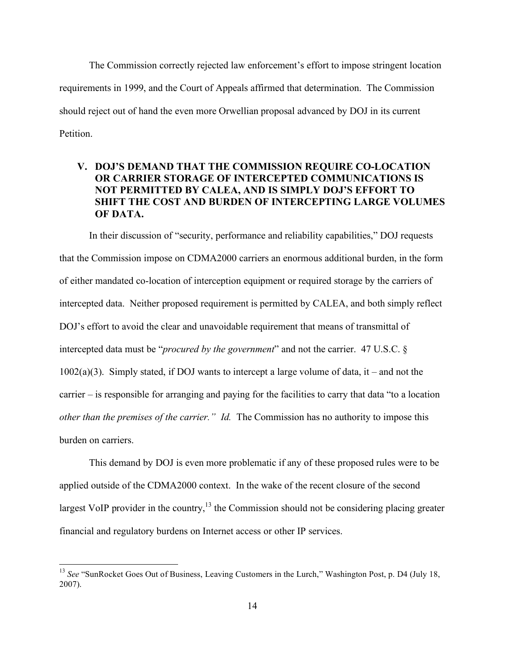The Commission correctly rejected law enforcement's effort to impose stringent location requirements in 1999, and the Court of Appeals affirmed that determination. The Commission should reject out of hand the even more Orwellian proposal advanced by DOJ in its current Petition.

# **V. DOJ'S DEMAND THAT THE COMMISSION REQUIRE CO-LOCATION OR CARRIER STORAGE OF INTERCEPTED COMMUNICATIONS IS NOT PERMITTED BY CALEA, AND IS SIMPLY DOJ'S EFFORT TO SHIFT THE COST AND BURDEN OF INTERCEPTING LARGE VOLUMES OF DATA.**

In their discussion of "security, performance and reliability capabilities," DOJ requests that the Commission impose on CDMA2000 carriers an enormous additional burden, in the form of either mandated co-location of interception equipment or required storage by the carriers of intercepted data. Neither proposed requirement is permitted by CALEA, and both simply reflect DOJ's effort to avoid the clear and unavoidable requirement that means of transmittal of intercepted data must be "*procured by the government*" and not the carrier. 47 U.S.C. §  $1002(a)(3)$ . Simply stated, if DOJ wants to intercept a large volume of data, it – and not the carrier – is responsible for arranging and paying for the facilities to carry that data "to a location *other than the premises of the carrier." Id.* The Commission has no authority to impose this burden on carriers.

This demand by DOJ is even more problematic if any of these proposed rules were to be applied outside of the CDMA2000 context. In the wake of the recent closure of the second largest VoIP provider in the country,<sup>13</sup> the Commission should not be considering placing greater financial and regulatory burdens on Internet access or other IP services.

<sup>&</sup>lt;sup>13</sup> See "SunRocket Goes Out of Business, Leaving Customers in the Lurch," Washington Post, p. D4 (July 18, 2007).